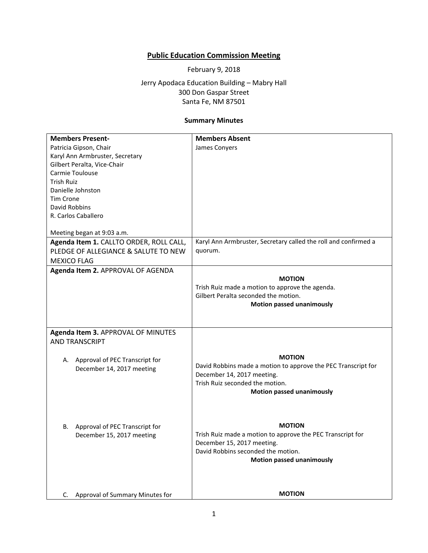## **Public Education Commission Meeting**

February 9, 2018

Jerry Apodaca Education Building – Mabry Hall 300 Don Gaspar Street Santa Fe, NM 87501

## **Summary Minutes**

| <b>Members Present-</b>                                                                                                          | <b>Members Absent</b>                                                                                                                                                                                                                                                                                                                                                                                                                                                                                     |
|----------------------------------------------------------------------------------------------------------------------------------|-----------------------------------------------------------------------------------------------------------------------------------------------------------------------------------------------------------------------------------------------------------------------------------------------------------------------------------------------------------------------------------------------------------------------------------------------------------------------------------------------------------|
| Patricia Gipson, Chair                                                                                                           | James Conyers                                                                                                                                                                                                                                                                                                                                                                                                                                                                                             |
| Karyl Ann Armbruster, Secretary                                                                                                  |                                                                                                                                                                                                                                                                                                                                                                                                                                                                                                           |
| Gilbert Peralta, Vice-Chair                                                                                                      |                                                                                                                                                                                                                                                                                                                                                                                                                                                                                                           |
| Carmie Toulouse                                                                                                                  |                                                                                                                                                                                                                                                                                                                                                                                                                                                                                                           |
| <b>Trish Ruiz</b>                                                                                                                |                                                                                                                                                                                                                                                                                                                                                                                                                                                                                                           |
| Danielle Johnston                                                                                                                |                                                                                                                                                                                                                                                                                                                                                                                                                                                                                                           |
| <b>Tim Crone</b>                                                                                                                 |                                                                                                                                                                                                                                                                                                                                                                                                                                                                                                           |
| David Robbins                                                                                                                    |                                                                                                                                                                                                                                                                                                                                                                                                                                                                                                           |
| R. Carlos Caballero                                                                                                              |                                                                                                                                                                                                                                                                                                                                                                                                                                                                                                           |
|                                                                                                                                  |                                                                                                                                                                                                                                                                                                                                                                                                                                                                                                           |
| Meeting began at 9:03 a.m.                                                                                                       |                                                                                                                                                                                                                                                                                                                                                                                                                                                                                                           |
| Agenda Item 1. CALLTO ORDER, ROLL CALL,                                                                                          | Karyl Ann Armbruster, Secretary called the roll and confirmed a                                                                                                                                                                                                                                                                                                                                                                                                                                           |
| PLEDGE OF ALLEGIANCE & SALUTE TO NEW                                                                                             | quorum.                                                                                                                                                                                                                                                                                                                                                                                                                                                                                                   |
| <b>MEXICO FLAG</b>                                                                                                               |                                                                                                                                                                                                                                                                                                                                                                                                                                                                                                           |
| Agenda Item 2. APPROVAL OF AGENDA                                                                                                |                                                                                                                                                                                                                                                                                                                                                                                                                                                                                                           |
|                                                                                                                                  | <b>MOTION</b>                                                                                                                                                                                                                                                                                                                                                                                                                                                                                             |
|                                                                                                                                  |                                                                                                                                                                                                                                                                                                                                                                                                                                                                                                           |
|                                                                                                                                  |                                                                                                                                                                                                                                                                                                                                                                                                                                                                                                           |
|                                                                                                                                  |                                                                                                                                                                                                                                                                                                                                                                                                                                                                                                           |
|                                                                                                                                  |                                                                                                                                                                                                                                                                                                                                                                                                                                                                                                           |
|                                                                                                                                  |                                                                                                                                                                                                                                                                                                                                                                                                                                                                                                           |
|                                                                                                                                  |                                                                                                                                                                                                                                                                                                                                                                                                                                                                                                           |
|                                                                                                                                  |                                                                                                                                                                                                                                                                                                                                                                                                                                                                                                           |
|                                                                                                                                  |                                                                                                                                                                                                                                                                                                                                                                                                                                                                                                           |
|                                                                                                                                  |                                                                                                                                                                                                                                                                                                                                                                                                                                                                                                           |
| A. Approval of PEC Transcript for                                                                                                |                                                                                                                                                                                                                                                                                                                                                                                                                                                                                                           |
| December 14, 2017 meeting                                                                                                        |                                                                                                                                                                                                                                                                                                                                                                                                                                                                                                           |
|                                                                                                                                  |                                                                                                                                                                                                                                                                                                                                                                                                                                                                                                           |
|                                                                                                                                  |                                                                                                                                                                                                                                                                                                                                                                                                                                                                                                           |
|                                                                                                                                  |                                                                                                                                                                                                                                                                                                                                                                                                                                                                                                           |
|                                                                                                                                  |                                                                                                                                                                                                                                                                                                                                                                                                                                                                                                           |
|                                                                                                                                  |                                                                                                                                                                                                                                                                                                                                                                                                                                                                                                           |
|                                                                                                                                  |                                                                                                                                                                                                                                                                                                                                                                                                                                                                                                           |
|                                                                                                                                  |                                                                                                                                                                                                                                                                                                                                                                                                                                                                                                           |
|                                                                                                                                  |                                                                                                                                                                                                                                                                                                                                                                                                                                                                                                           |
|                                                                                                                                  |                                                                                                                                                                                                                                                                                                                                                                                                                                                                                                           |
|                                                                                                                                  |                                                                                                                                                                                                                                                                                                                                                                                                                                                                                                           |
|                                                                                                                                  |                                                                                                                                                                                                                                                                                                                                                                                                                                                                                                           |
|                                                                                                                                  |                                                                                                                                                                                                                                                                                                                                                                                                                                                                                                           |
|                                                                                                                                  |                                                                                                                                                                                                                                                                                                                                                                                                                                                                                                           |
|                                                                                                                                  |                                                                                                                                                                                                                                                                                                                                                                                                                                                                                                           |
| Agenda Item 3. APPROVAL OF MINUTES<br><b>AND TRANSCRIPT</b><br>Approval of PEC Transcript for<br>В.<br>December 15, 2017 meeting | Trish Ruiz made a motion to approve the agenda.<br>Gilbert Peralta seconded the motion.<br><b>Motion passed unanimously</b><br><b>MOTION</b><br>David Robbins made a motion to approve the PEC Transcript for<br>December 14, 2017 meeting.<br>Trish Ruiz seconded the motion.<br><b>Motion passed unanimously</b><br><b>MOTION</b><br>Trish Ruiz made a motion to approve the PEC Transcript for<br>December 15, 2017 meeting.<br>David Robbins seconded the motion.<br><b>Motion passed unanimously</b> |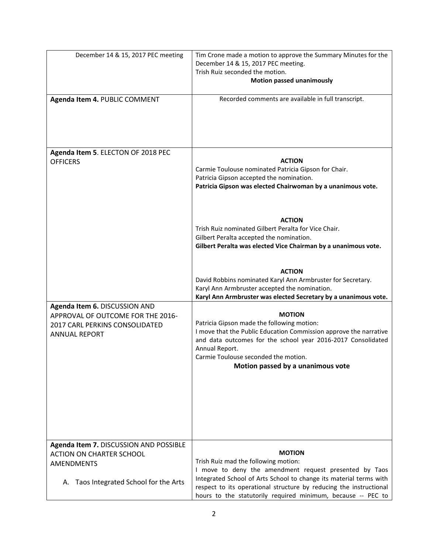| December 14 & 15, 2017 PEC meeting                                                                                                       | Tim Crone made a motion to approve the Summary Minutes for the<br>December 14 & 15, 2017 PEC meeting.<br>Trish Ruiz seconded the motion.<br><b>Motion passed unanimously</b>                                                                                                                                                |
|------------------------------------------------------------------------------------------------------------------------------------------|-----------------------------------------------------------------------------------------------------------------------------------------------------------------------------------------------------------------------------------------------------------------------------------------------------------------------------|
| Agenda Item 4. PUBLIC COMMENT                                                                                                            | Recorded comments are available in full transcript.                                                                                                                                                                                                                                                                         |
| Agenda Item 5. ELECTON OF 2018 PEC<br><b>OFFICERS</b>                                                                                    | <b>ACTION</b><br>Carmie Toulouse nominated Patricia Gipson for Chair.<br>Patricia Gipson accepted the nomination.<br>Patricia Gipson was elected Chairwoman by a unanimous vote.                                                                                                                                            |
|                                                                                                                                          | <b>ACTION</b><br>Trish Ruiz nominated Gilbert Peralta for Vice Chair.<br>Gilbert Peralta accepted the nomination.<br>Gilbert Peralta was elected Vice Chairman by a unanimous vote.                                                                                                                                         |
|                                                                                                                                          | <b>ACTION</b><br>David Robbins nominated Karyl Ann Armbruster for Secretary.<br>Karyl Ann Armbruster accepted the nomination.<br>Karyl Ann Armbruster was elected Secretary by a unanimous vote.                                                                                                                            |
| Agenda Item 6. DISCUSSION AND<br>APPROVAL OF OUTCOME FOR THE 2016-<br>2017 CARL PERKINS CONSOLIDATED<br><b>ANNUAL REPORT</b>             | <b>MOTION</b><br>Patricia Gipson made the following motion:<br>I move that the Public Education Commission approve the narrative<br>and data outcomes for the school year 2016-2017 Consolidated<br>Annual Report.<br>Carmie Toulouse seconded the motion.<br>Motion passed by a unanimous vote                             |
| Agenda Item 7. DISCUSSION AND POSSIBLE<br><b>ACTION ON CHARTER SCHOOL</b><br><b>AMENDMENTS</b><br>A. Taos Integrated School for the Arts | <b>MOTION</b><br>Trish Ruiz mad the following motion:<br>I move to deny the amendment request presented by Taos<br>Integrated School of Arts School to change its material terms with<br>respect to its operational structure by reducing the instructional<br>hours to the statutorily required minimum, because -- PEC to |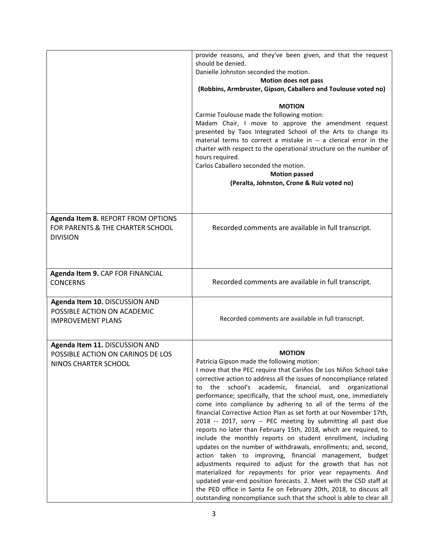|                                                                                             | provide reasons, and they've been given, and that the request<br>should be denied.<br>Danielle Johnston seconded the motion.<br>Motion does not pass<br>(Robbins, Armbruster, Gipson, Caballero and Toulouse voted no)<br><b>MOTION</b><br>Carmie Toulouse made the following motion:<br>Madam Chair, I move to approve the amendment request<br>presented by Taos Integrated School of the Arts to change its<br>material terms to correct a mistake in -- a clerical error in the<br>charter with respect to the operational structure on the number of<br>hours required.<br>Carlos Caballero seconded the motion.<br><b>Motion passed</b><br>(Peralta, Johnston, Crone & Ruiz voted no)                                                                                                                                                                                                                                                                                                                                                                                                                                                                         |
|---------------------------------------------------------------------------------------------|---------------------------------------------------------------------------------------------------------------------------------------------------------------------------------------------------------------------------------------------------------------------------------------------------------------------------------------------------------------------------------------------------------------------------------------------------------------------------------------------------------------------------------------------------------------------------------------------------------------------------------------------------------------------------------------------------------------------------------------------------------------------------------------------------------------------------------------------------------------------------------------------------------------------------------------------------------------------------------------------------------------------------------------------------------------------------------------------------------------------------------------------------------------------|
| Agenda Item 8. REPORT FROM OPTIONS<br>FOR PARENTS & THE CHARTER SCHOOL<br><b>DIVISION</b>   | Recorded comments are available in full transcript.                                                                                                                                                                                                                                                                                                                                                                                                                                                                                                                                                                                                                                                                                                                                                                                                                                                                                                                                                                                                                                                                                                                 |
| Agenda Item 9. CAP FOR FINANCIAL<br><b>CONCERNS</b>                                         | Recorded comments are available in full transcript.                                                                                                                                                                                                                                                                                                                                                                                                                                                                                                                                                                                                                                                                                                                                                                                                                                                                                                                                                                                                                                                                                                                 |
| Agenda Item 10. DISCUSSION AND<br>POSSIBLE ACTION ON ACADEMIC<br><b>IMPROVEMENT PLANS</b>   | Recorded comments are available in full transcript.                                                                                                                                                                                                                                                                                                                                                                                                                                                                                                                                                                                                                                                                                                                                                                                                                                                                                                                                                                                                                                                                                                                 |
| Agenda Item 11. DISCUSSION AND<br>POSSIBLE ACTION ON CARINOS DE LOS<br>NINOS CHARTER SCHOOL | <b>MOTION</b><br>Patricia Gipson made the following motion:<br>I move that the PEC require that Cariños De Los Niños School take<br>corrective action to address all the issues of noncompliance related<br>the school's academic, financial, and organizational<br>to<br>performance; specifically, that the school must, one, immediately<br>come into compliance by adhering to all of the terms of the<br>financial Corrective Action Plan as set forth at our November 17th,<br>2018 -- 2017, sorry -- PEC meeting by submitting all past due<br>reports no later than February 15th, 2018, which are required, to<br>include the monthly reports on student enrollment, including<br>updates on the number of withdrawals, enrollments; and, second,<br>action taken to improving, financial management, budget<br>adjustments required to adjust for the growth that has not<br>materialized for repayments for prior year repayments. And<br>updated year-end position forecasts. 2. Meet with the CSD staff at<br>the PED office in Santa Fe on February 20th, 2018, to discuss all<br>outstanding noncompliance such that the school is able to clear all |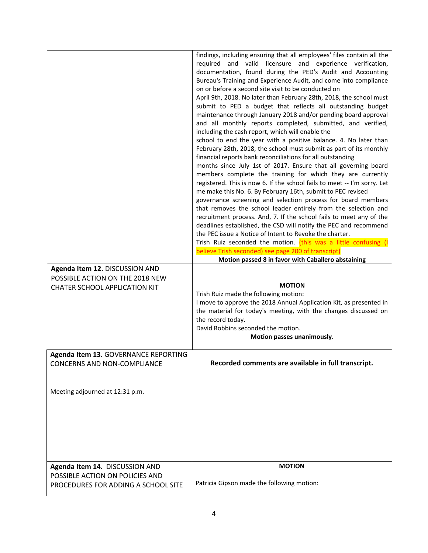|                                                                                                           | findings, including ensuring that all employees' files contain all the<br>required and valid licensure and experience verification,<br>documentation, found during the PED's Audit and Accounting<br>Bureau's Training and Experience Audit, and come into compliance<br>on or before a second site visit to be conducted on<br>April 9th, 2018. No later than February 28th, 2018, the school must<br>submit to PED a budget that reflects all outstanding budget<br>maintenance through January 2018 and/or pending board approval<br>and all monthly reports completed, submitted, and verified,<br>including the cash report, which will enable the<br>school to end the year with a positive balance. 4. No later than<br>February 28th, 2018, the school must submit as part of its monthly<br>financial reports bank reconciliations for all outstanding<br>months since July 1st of 2017. Ensure that all governing board<br>members complete the training for which they are currently<br>registered. This is now 6. If the school fails to meet -- I'm sorry. Let<br>me make this No. 6. By February 16th, submit to PEC revised<br>governance screening and selection process for board members<br>that removes the school leader entirely from the selection and<br>recruitment process. And, 7. If the school fails to meet any of the<br>deadlines established, the CSD will notify the PEC and recommend<br>the PEC issue a Notice of Intent to Revoke the charter.<br>Trish Ruiz seconded the motion. (this was a little confusing (I<br>believe Trish seconded) see page 200 of transcript) |
|-----------------------------------------------------------------------------------------------------------|--------------------------------------------------------------------------------------------------------------------------------------------------------------------------------------------------------------------------------------------------------------------------------------------------------------------------------------------------------------------------------------------------------------------------------------------------------------------------------------------------------------------------------------------------------------------------------------------------------------------------------------------------------------------------------------------------------------------------------------------------------------------------------------------------------------------------------------------------------------------------------------------------------------------------------------------------------------------------------------------------------------------------------------------------------------------------------------------------------------------------------------------------------------------------------------------------------------------------------------------------------------------------------------------------------------------------------------------------------------------------------------------------------------------------------------------------------------------------------------------------------------------------------------------------------------------------------------------------------------|
|                                                                                                           | Motion passed 8 in favor with Caballero abstaining                                                                                                                                                                                                                                                                                                                                                                                                                                                                                                                                                                                                                                                                                                                                                                                                                                                                                                                                                                                                                                                                                                                                                                                                                                                                                                                                                                                                                                                                                                                                                           |
| Agenda Item 12. DISCUSSION AND<br>POSSIBLE ACTION ON THE 2018 NEW<br><b>CHATER SCHOOL APPLICATION KIT</b> | <b>MOTION</b><br>Trish Ruiz made the following motion:<br>I move to approve the 2018 Annual Application Kit, as presented in<br>the material for today's meeting, with the changes discussed on<br>the record today.<br>David Robbins seconded the motion.<br>Motion passes unanimously.                                                                                                                                                                                                                                                                                                                                                                                                                                                                                                                                                                                                                                                                                                                                                                                                                                                                                                                                                                                                                                                                                                                                                                                                                                                                                                                     |
| Agenda Item 13. GOVERNANCE REPORTING<br>CONCERNS AND NON-COMPLIANCE                                       | Recorded comments are available in full transcript.                                                                                                                                                                                                                                                                                                                                                                                                                                                                                                                                                                                                                                                                                                                                                                                                                                                                                                                                                                                                                                                                                                                                                                                                                                                                                                                                                                                                                                                                                                                                                          |
| Meeting adjourned at 12:31 p.m.                                                                           |                                                                                                                                                                                                                                                                                                                                                                                                                                                                                                                                                                                                                                                                                                                                                                                                                                                                                                                                                                                                                                                                                                                                                                                                                                                                                                                                                                                                                                                                                                                                                                                                              |
| Agenda Item 14. DISCUSSION AND                                                                            | <b>MOTION</b>                                                                                                                                                                                                                                                                                                                                                                                                                                                                                                                                                                                                                                                                                                                                                                                                                                                                                                                                                                                                                                                                                                                                                                                                                                                                                                                                                                                                                                                                                                                                                                                                |
| POSSIBLE ACTION ON POLICIES AND<br>PROCEDURES FOR ADDING A SCHOOL SITE                                    | Patricia Gipson made the following motion:                                                                                                                                                                                                                                                                                                                                                                                                                                                                                                                                                                                                                                                                                                                                                                                                                                                                                                                                                                                                                                                                                                                                                                                                                                                                                                                                                                                                                                                                                                                                                                   |